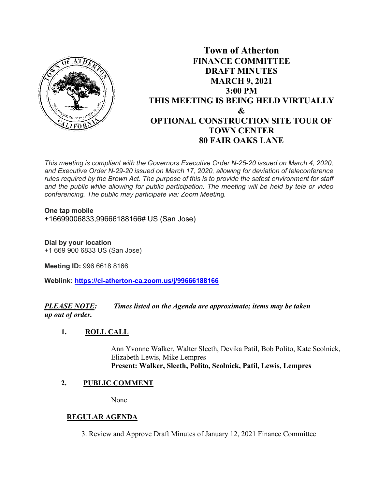

# **Town of Atherton FINANCE COMMITTEE DRAFT MINUTES MARCH 9, 2021 3:00 PM THIS MEETING IS BEING HELD VIRTUALLY & OPTIONAL CONSTRUCTION SITE TOUR OF TOWN CENTER 80 FAIR OAKS LANE**

*This meeting is compliant with the Governors Executive Order N-25-20 issued on March 4, 2020, and Executive Order N-29-20 issued on March 17, 2020, allowing for deviation of teleconference rules required by the Brown Act. The purpose of this is to provide the safest environment for staff and the public while allowing for public participation. The meeting will be held by tele or video conferencing. The public may participate via: Zoom Meeting.*

**One tap mobile**  +16699006833,99666188166# US (San Jose)

**Dial by your location**  +1 669 900 6833 US (San Jose)

**Meeting ID:** 996 6618 8166

**Weblink: <https://ci-atherton-ca.zoom.us/j/99666188166>**

*PLEASE NOTE: Times listed on the Agenda are approximate; items may be taken up out of order.*

#### **1. ROLL CALL**

Ann Yvonne Walker, Walter Sleeth, Devika Patil, Bob Polito, Kate Scolnick, Elizabeth Lewis, Mike Lempres **Present: Walker, Sleeth, Polito, Scolnick, Patil, Lewis, Lempres**

#### **2. PUBLIC COMMENT**

None

### **REGULAR AGENDA**

3. Review and Approve Draft Minutes of January 12, 2021 Finance Committee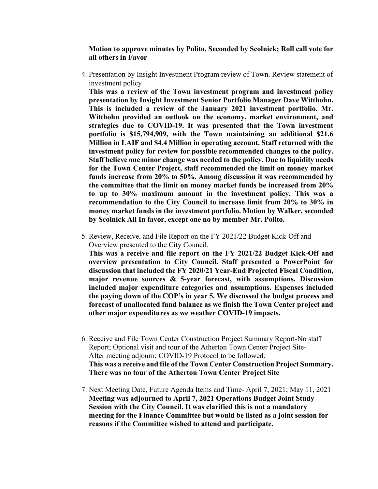**Motion to approve minutes by Polito, Seconded by Scolnick; Roll call vote for all others in Favor** 

 4. Presentation by Insight Investment Program review of Town. Review statement of investment policy

**This was a review of the Town investment program and investment policy presentation by Insight Investment Senior Portfolio Manager Dave Witthohn. This is included a review of the January 2021 investment portfolio. Mr. Witthohn provided an outlook on the economy, market environment, and strategies due to COVID-19. It was presented that the Town investment portfolio is \$15,794,909, with the Town maintaining an additional \$21.6 Million in LAIF and \$4.4 Million in operating account. Staff returned with the investment policy for review for possible recommended changes to the policy. Staff believe one minor change was needed to the policy. Due to liquidity needs for the Town Center Project, staff recommended the limit on money market funds increase from 20% to 50%. Among discussion it was recommended by the committee that the limit on money market funds be increased from 20% to up to 30% maximum amount in the investment policy. This was a recommendation to the City Council to increase limit from 20% to 30% in money market funds in the investment portfolio. Motion by Walker, seconded by Scolnick All In favor, except one no by member Mr. Polito.**

 5. Review, Receive, and File Report on the FY 2021/22 Budget Kick-Off and Overview presented to the City Council.

**This was a receive and file report on the FY 2021/22 Budget Kick-Off and overview presentation to City Council. Staff presented a PowerPoint for discussion that included the FY 2020/21 Year-End Projected Fiscal Condition, major revenue sources & 5-year forecast, with assumptions. Discussion included major expenditure categories and assumptions. Expenses included the paying down of the COP's in year 5. We discussed the budget process and forecast of unallocated fund balance as we finish the Town Center project and other major expenditures as we weather COVID-19 impacts.**

- 6. Receive and File Town Center Construction Project Summary Report-No staff Report; Optional visit and tour of the Atherton Town Center Project Site-After meeting adjourn; COVID-19 Protocol to be followed. **This was a receive and file of the Town Center Construction Project Summary. There was no tour of the Atherton Town Center Project Site**
- 7. Next Meeting Date, Future Agenda Items and Time- April 7, 2021; May 11, 2021 **Meeting was adjourned to April 7, 2021 Operations Budget Joint Study Session with the City Council. It was clarified this is not a mandatory meeting for the Finance Committee but would be listed as a joint session for reasons if the Committee wished to attend and participate.**